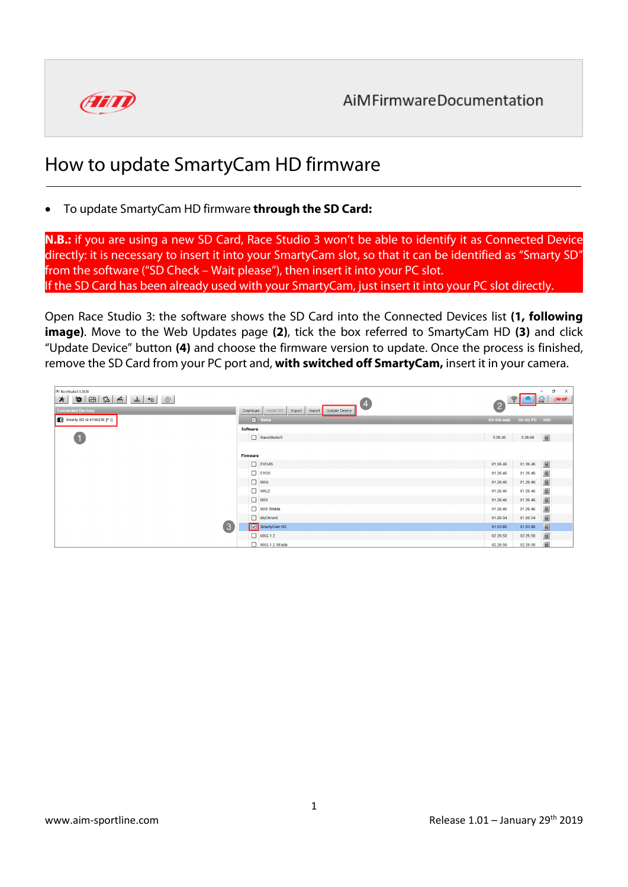

## How to update SmartyCam HD firmware

## • To update SmartyCam HD firmware **through the SD Card:**

**N.B.:** if you are using a new SD Card, Race Studio 3 won't be able to identify it as Connected Device directly: it is necessary to insert it into your SmartyCam slot, so that it can be identified as "Smarty SD" from the software ("SD Check – Wait please"), then insert it into your PC slot. If the SD Card has been already used with your SmartyCam, just insert it into your PC slot directly.

Open Race Studio 3: the software shows the SD Card into the Connected Devices list **(1, following image)**. Move to the Web Updates page **(2)**, tick the box referred to SmartyCam HD **(3)** and click "Update Device" button **(4)** and choose the firmware version to update. Once the process is finished, remove the SD Card from your PC port and, **with switched off SmartyCam,** insert it in your camera.

| RaceStudio3 3.28.00<br>$\bullet$ $\blacksquare$<br>$\mathbb{E}$<br>凾<br>$\star$<br>$\frac{1}{2}$<br>6<br>$\leftrightarrow$ | $\left( 4 \right)$                                          | $\left( 2\right)$ | $\sigma$<br>$\boldsymbol{\times}$<br>-<br>am<br>$\frac{1}{2}$<br>$\widehat{\cdot}$                                                                            |
|----------------------------------------------------------------------------------------------------------------------------|-------------------------------------------------------------|-------------------|---------------------------------------------------------------------------------------------------------------------------------------------------------------|
| <b>Connected Devices</b>                                                                                                   | Install SW<br>Export<br>Update Device<br>Download<br>Import |                   |                                                                                                                                                               |
| Smarty-SD id 4106238 [F:\]                                                                                                 | Mame                                                        |                   | On the web On my PC Info                                                                                                                                      |
| $\overline{1}$                                                                                                             | <b>Software</b>                                             |                   |                                                                                                                                                               |
|                                                                                                                            | RaceStudio3                                                 | 3.28.00           | $\Box$<br>3.28.00                                                                                                                                             |
|                                                                                                                            |                                                             |                   |                                                                                                                                                               |
|                                                                                                                            | Firmware                                                    |                   |                                                                                                                                                               |
| $\left(3\right)$                                                                                                           | $\Box$ EVO4S                                                | 01.26.46          | $\qquad \qquad \blacksquare$<br>01.26.46                                                                                                                      |
|                                                                                                                            | $\Box$ EVO <sub>5</sub>                                     | 01.26.46          | $\begin{tabular}{ c c } \hline \quad \quad & \quad \quad & \quad \quad \\ \hline \quad \quad & \quad \quad & \quad \quad \\ \hline \end{tabular}$<br>01.26.46 |
|                                                                                                                            | $\Box$ MXG                                                  | 01.26.46          | $\begin{tabular}{ c c } \hline \quad \quad & \quad \quad & \quad \quad \\ \hline \end{tabular}$<br>01.26.46                                                   |
|                                                                                                                            | $\Box$ MXL2                                                 | 01.26.46          | $\begin{tabular}{ c c } \hline \quad \quad & \quad \quad & \quad \quad \\ \hline \end{tabular}$<br>01.26.46                                                   |
|                                                                                                                            | $\Box$ MXS                                                  | 01.26.46          | $\qquad \qquad \text{ } \blacksquare$<br>01.26.46                                                                                                             |
|                                                                                                                            | MXS Strada                                                  | 01.26.46          | $\begin{tabular}{ c c } \hline \quad \quad & \quad \quad & \quad \quad \\ \hline \quad \quad & \quad \quad & \quad \quad \\ \hline \end{tabular}$<br>01.26.46 |
|                                                                                                                            | MyChron5                                                    | 01.26.34          | $\begin{tabular}{ c c } \hline \quad \quad & \quad \quad & \quad \quad \\ \hline \quad \quad & \quad \quad & \quad \quad \\ \hline \end{tabular}$<br>01.26.34 |
|                                                                                                                            | SmartyCam HD                                                | 01.03.86          | $\begin{tabular}{ c c } \hline \quad \quad & \quad \quad & \quad \quad \\ \hline \end{tabular}$<br>01.03.86                                                   |
|                                                                                                                            | MKG 1.2                                                     | 02.26.50          | $\blacksquare$<br>02.26.50                                                                                                                                    |
|                                                                                                                            | MXG 1.2 Strada                                              | 02.26.50          | $\mathbb{E}$<br>02.26.50                                                                                                                                      |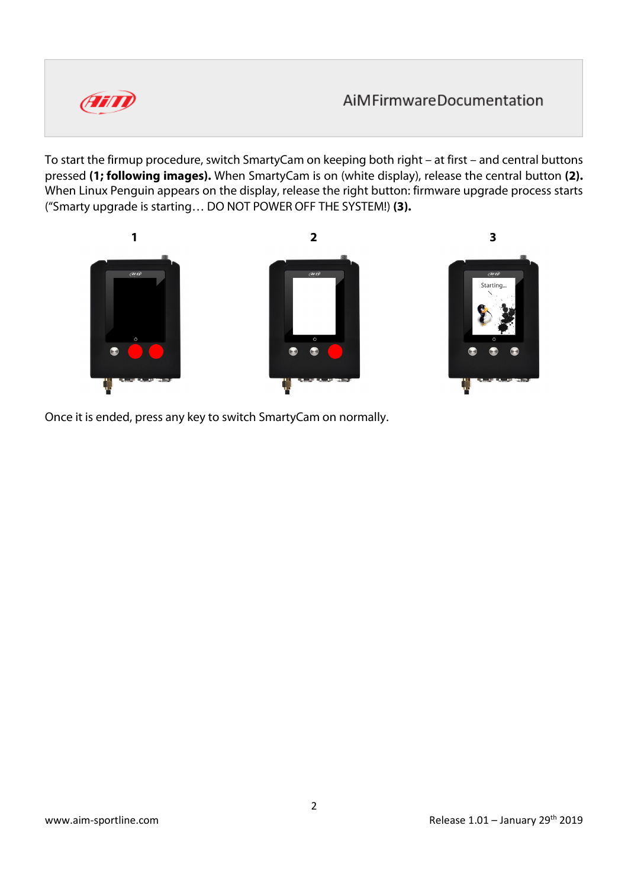

To start the firmup procedure, switch SmartyCam on keeping both right – at first – and central buttons pressed **(1; following images).** When SmartyCam is on (white display), release the central button **(2).** When Linux Penguin appears on the display, release the right button: firmware upgrade process starts ("Smarty upgrade is starting… DO NOT POWER OFF THE SYSTEM!) **(3).**



Once it is ended, press any key to switch SmartyCam on normally.